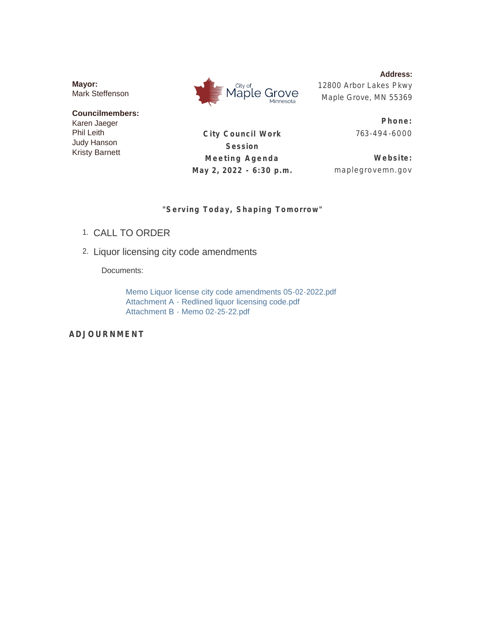**Mayor:** Mark Steffenson

**Councilmembers:** Karen Jaeger Phil Leith Judy Hanson Kristy Barnett



**Address:** 12800 Arbor Lakes Pkwy Maple Grove, MN 55369

**City Council Work Session Meeting Agenda May 2, 2022 - 6:30 p.m.**

**Phone:** 763-494 -6000

**Website:** maplegrovemn.gov

# **"Serving Today, Shaping Tomorrow"**

- CALL TO ORDER 1.
- 2. Liquor licensing city code amendments

Documents:

Memo Liquor license city code amendments 05-02-2022.pdf Attachment A - Redlined liquor licensing code.pdf Attachment B - Memo 02-25-22.pdf

**ADJOURNMENT**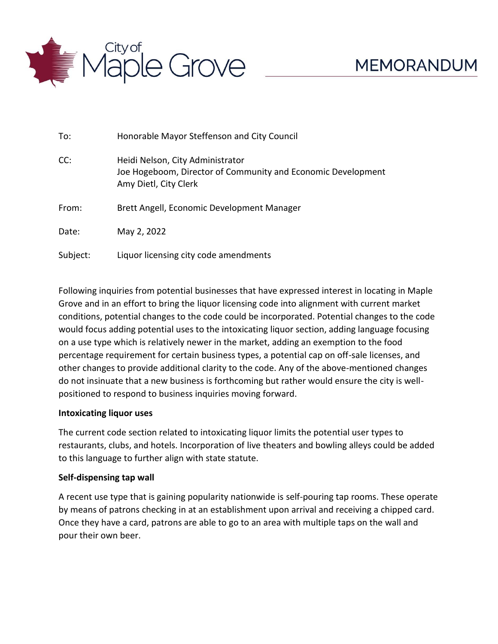

| To:      | Honorable Mayor Steffenson and City Council                                                                               |  |
|----------|---------------------------------------------------------------------------------------------------------------------------|--|
| CC:      | Heidi Nelson, City Administrator<br>Joe Hogeboom, Director of Community and Economic Development<br>Amy Dietl, City Clerk |  |
| From:    | Brett Angell, Economic Development Manager                                                                                |  |
| Date:    | May 2, 2022                                                                                                               |  |
| Subject: | Liquor licensing city code amendments                                                                                     |  |

Following inquiries from potential businesses that have expressed interest in locating in Maple Grove and in an effort to bring the liquor licensing code into alignment with current market conditions, potential changes to the code could be incorporated. Potential changes to the code would focus adding potential uses to the intoxicating liquor section, adding language focusing on a use type which is relatively newer in the market, adding an exemption to the food percentage requirement for certain business types, a potential cap on off-sale licenses, and other changes to provide additional clarity to the code. Any of the above-mentioned changes do not insinuate that a new business is forthcoming but rather would ensure the city is wellpositioned to respond to business inquiries moving forward.

# **Intoxicating liquor uses**

The current code section related to intoxicating liquor limits the potential user types to restaurants, clubs, and hotels. Incorporation of live theaters and bowling alleys could be added to this language to further align with state statute.

# **Self-dispensing tap wall**

A recent use type that is gaining popularity nationwide is self-pouring tap rooms. These operate by means of patrons checking in at an establishment upon arrival and receiving a chipped card. Once they have a card, patrons are able to go to an area with multiple taps on the wall and pour their own beer.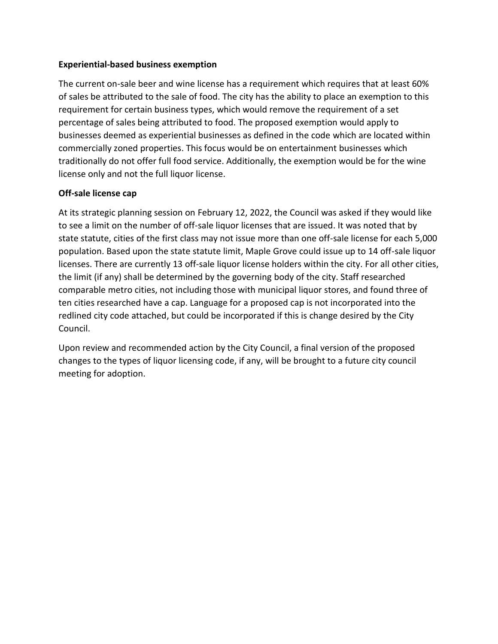# **Experiential-based business exemption**

The current on-sale beer and wine license has a requirement which requires that at least 60% of sales be attributed to the sale of food. The city has the ability to place an exemption to this requirement for certain business types, which would remove the requirement of a set percentage of sales being attributed to food. The proposed exemption would apply to businesses deemed as experiential businesses as defined in the code which are located within commercially zoned properties. This focus would be on entertainment businesses which traditionally do not offer full food service. Additionally, the exemption would be for the wine license only and not the full liquor license.

# **Off-sale license cap**

At its strategic planning session on February 12, 2022, the Council was asked if they would like to see a limit on the number of off-sale liquor licenses that are issued. It was noted that by state statute, cities of the first class may not issue more than one off-sale license for each 5,000 population. Based upon the state statute limit, Maple Grove could issue up to 14 off-sale liquor licenses. There are currently 13 off-sale liquor license holders within the city. For all other cities, the limit (if any) shall be determined by the governing body of the city. Staff researched comparable metro cities, not including those with municipal liquor stores, and found three of ten cities researched have a cap. Language for a proposed cap is not incorporated into the redlined city code attached, but could be incorporated if this is change desired by the City Council.

Upon review and recommended action by the City Council, a final version of the proposed changes to the types of liquor licensing code, if any, will be brought to a future city council meeting for adoption.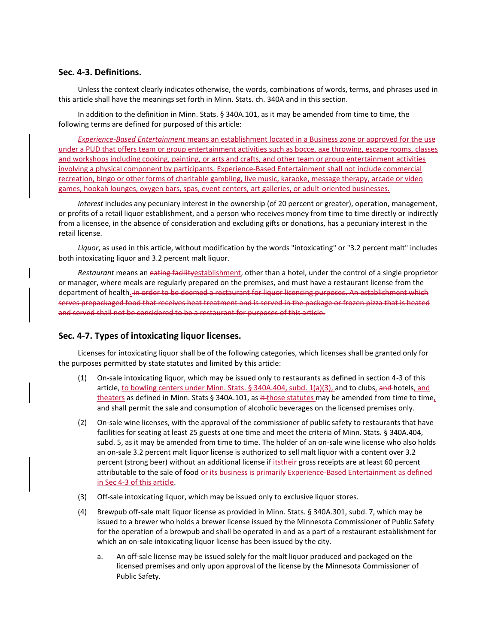### **Sec. 4-3. Definitions.**

Unless the context clearly indicates otherwise, the words, combinations of words, terms, and phrases used in this article shall have the meanings set forth in Minn. Stats. ch. 340A and in this section.

In addition to the definition in Minn. Stats. § 340A.101, as it may be amended from time to time, the following terms are defined for purposed of this article:

*Experience-Based Entertainment* means an establishment located in a Business zone or approved for the use under a PUD that offers team or group entertainment activities such as bocce, axe throwing, escape rooms, classes and workshops including cooking, painting, or arts and crafts, and other team or group entertainment activities involving a physical component by participants. Experience-Based Entertainment shall not include commercial recreation, bingo or other forms of charitable gambling, live music, karaoke, message therapy, arcade or video games, hookah lounges, oxygen bars, spas, event centers, art galleries, or adult-oriented businesses.

*Interest* includes any pecuniary interest in the ownership (of 20 percent or greater), operation, management, or profits of a retail liquor establishment, and a person who receives money from time to time directly or indirectly from a licensee, in the absence of consideration and excluding gifts or donations, has a pecuniary interest in the retail license.

*Liquor*, as used in this article, without modification by the words "intoxicating" or "3.2 percent malt" includes both intoxicating liquor and 3.2 percent malt liquor.

*Restaurant* means an eating facilityestablishment, other than a hotel, under the control of a single proprietor or manager, where meals are regularly prepared on the premises, and must have a restaurant license from the department of health. in order to be deemed a restaurant for liquor licensing purposes. An establishment which serves prepackaged food that receives heat treatment and is served in the package or frozen pizza that is heated and served shall not be considered to be a restaurant for purposes of this article.

### **Sec. 4-7. Types of intoxicating liquor licenses.**

Licenses for intoxicating liquor shall be of the following categories, which licenses shall be granted only for the purposes permitted by state statutes and limited by this article:

- (1) On-sale intoxicating liquor, which may be issued only to restaurants as defined in section 4-3 of this article, to bowling centers under Minn. Stats. § 340A.404, subd. 1(a)(3), and to clubs, and hotels, and theaters as defined in Minn. Stats § 340A.101, as it those statutes may be amended from time to time, and shall permit the sale and consumption of alcoholic beverages on the licensed premises only.
- (2) On-sale wine licenses, with the approval of the commissioner of public safety to restaurants that have facilities for seating at least 25 guests at one time and meet the criteria of Minn. Stats. § 340A.404, subd. 5, as it may be amended from time to time. The holder of an on-sale wine license who also holds an on-sale 3.2 percent malt liquor license is authorized to sell malt liquor with a content over 3.2 percent (strong beer) without an additional license if itstheir gross receipts are at least 60 percent attributable to the sale of food or its business is primarily Experience-Based Entertainment as defined in Sec 4-3 of this article.
- (3) Off-sale intoxicating liquor, which may be issued only to exclusive liquor stores.
- (4) Brewpub off-sale malt liquor license as provided in Minn. Stats. § 340A.301, subd. 7, which may be issued to a brewer who holds a brewer license issued by the Minnesota Commissioner of Public Safety for the operation of a brewpub and shall be operated in and as a part of a restaurant establishment for which an on-sale intoxicating liquor license has been issued by the city.
	- a. An off-sale license may be issued solely for the malt liquor produced and packaged on the licensed premises and only upon approval of the license by the Minnesota Commissioner of Public Safety.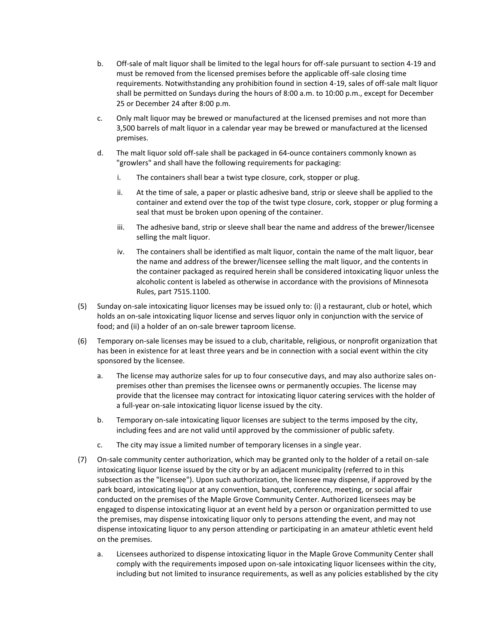- b. Off-sale of malt liquor shall be limited to the legal hours for off-sale pursuant to section 4-19 and must be removed from the licensed premises before the applicable off-sale closing time requirements. Notwithstanding any prohibition found in section 4-19, sales of off-sale malt liquor shall be permitted on Sundays during the hours of 8:00 a.m. to 10:00 p.m., except for December 25 or December 24 after 8:00 p.m.
- c. Only malt liquor may be brewed or manufactured at the licensed premises and not more than 3,500 barrels of malt liquor in a calendar year may be brewed or manufactured at the licensed premises.
- d. The malt liquor sold off-sale shall be packaged in 64-ounce containers commonly known as "growlers" and shall have the following requirements for packaging:
	- i. The containers shall bear a twist type closure, cork, stopper or plug.
	- ii. At the time of sale, a paper or plastic adhesive band, strip or sleeve shall be applied to the container and extend over the top of the twist type closure, cork, stopper or plug forming a seal that must be broken upon opening of the container.
	- iii. The adhesive band, strip or sleeve shall bear the name and address of the brewer/licensee selling the malt liquor.
	- iv. The containers shall be identified as malt liquor, contain the name of the malt liquor, bear the name and address of the brewer/licensee selling the malt liquor, and the contents in the container packaged as required herein shall be considered intoxicating liquor unless the alcoholic content is labeled as otherwise in accordance with the provisions of Minnesota Rules, part 7515.1100.
- (5) Sunday on-sale intoxicating liquor licenses may be issued only to: (i) a restaurant, club or hotel, which holds an on-sale intoxicating liquor license and serves liquor only in conjunction with the service of food; and (ii) a holder of an on-sale brewer taproom license.
- (6) Temporary on-sale licenses may be issued to a club, charitable, religious, or nonprofit organization that has been in existence for at least three years and be in connection with a social event within the city sponsored by the licensee.
	- a. The license may authorize sales for up to four consecutive days, and may also authorize sales onpremises other than premises the licensee owns or permanently occupies. The license may provide that the licensee may contract for intoxicating liquor catering services with the holder of a full-year on-sale intoxicating liquor license issued by the city.
	- b. Temporary on-sale intoxicating liquor licenses are subject to the terms imposed by the city, including fees and are not valid until approved by the commissioner of public safety.
	- c. The city may issue a limited number of temporary licenses in a single year.
- (7) On-sale community center authorization, which may be granted only to the holder of a retail on-sale intoxicating liquor license issued by the city or by an adjacent municipality (referred to in this subsection as the "licensee"). Upon such authorization, the licensee may dispense, if approved by the park board, intoxicating liquor at any convention, banquet, conference, meeting, or social affair conducted on the premises of the Maple Grove Community Center. Authorized licensees may be engaged to dispense intoxicating liquor at an event held by a person or organization permitted to use the premises, may dispense intoxicating liquor only to persons attending the event, and may not dispense intoxicating liquor to any person attending or participating in an amateur athletic event held on the premises.
	- a. Licensees authorized to dispense intoxicating liquor in the Maple Grove Community Center shall comply with the requirements imposed upon on-sale intoxicating liquor licensees within the city, including but not limited to insurance requirements, as well as any policies established by the city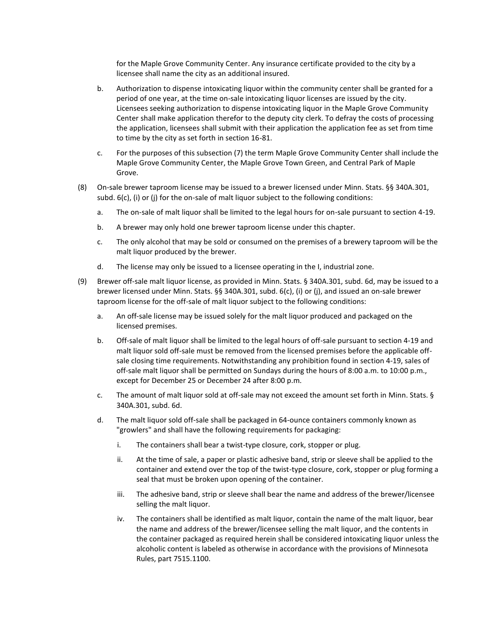for the Maple Grove Community Center. Any insurance certificate provided to the city by a licensee shall name the city as an additional insured.

- b. Authorization to dispense intoxicating liquor within the community center shall be granted for a period of one year, at the time on-sale intoxicating liquor licenses are issued by the city. Licensees seeking authorization to dispense intoxicating liquor in the Maple Grove Community Center shall make application therefor to the deputy city clerk. To defray the costs of processing the application, licensees shall submit with their application the application fee as set from time to time by the city as set forth in section 16-81.
- c. For the purposes of this subsection (7) the term Maple Grove Community Center shall include the Maple Grove Community Center, the Maple Grove Town Green, and Central Park of Maple Grove.
- (8) On-sale brewer taproom license may be issued to a brewer licensed under Minn. Stats. §§ 340A.301, subd. 6(c), (i) or (j) for the on-sale of malt liquor subject to the following conditions:
	- a. The on-sale of malt liquor shall be limited to the legal hours for on-sale pursuant to section 4-19.
	- b. A brewer may only hold one brewer taproom license under this chapter.
	- c. The only alcohol that may be sold or consumed on the premises of a brewery taproom will be the malt liquor produced by the brewer.
	- d. The license may only be issued to a licensee operating in the I, industrial zone.
- (9) Brewer off-sale malt liquor license, as provided in Minn. Stats. § 340A.301, subd. 6d, may be issued to a brewer licensed under Minn. Stats. §§ 340A.301, subd. 6(c), (i) or (j), and issued an on-sale brewer taproom license for the off-sale of malt liquor subject to the following conditions:
	- a. An off-sale license may be issued solely for the malt liquor produced and packaged on the licensed premises.
	- b. Off-sale of malt liquor shall be limited to the legal hours of off-sale pursuant to section 4-19 and malt liquor sold off-sale must be removed from the licensed premises before the applicable offsale closing time requirements. Notwithstanding any prohibition found in section 4-19, sales of off-sale malt liquor shall be permitted on Sundays during the hours of 8:00 a.m. to 10:00 p.m., except for December 25 or December 24 after 8:00 p.m.
	- c. The amount of malt liquor sold at off-sale may not exceed the amount set forth in Minn. Stats. § 340A.301, subd. 6d.
	- d. The malt liquor sold off-sale shall be packaged in 64-ounce containers commonly known as "growlers" and shall have the following requirements for packaging:
		- i. The containers shall bear a twist-type closure, cork, stopper or plug.
		- ii. At the time of sale, a paper or plastic adhesive band, strip or sleeve shall be applied to the container and extend over the top of the twist-type closure, cork, stopper or plug forming a seal that must be broken upon opening of the container.
		- iii. The adhesive band, strip or sleeve shall bear the name and address of the brewer/licensee selling the malt liquor.
		- iv. The containers shall be identified as malt liquor, contain the name of the malt liquor, bear the name and address of the brewer/licensee selling the malt liquor, and the contents in the container packaged as required herein shall be considered intoxicating liquor unless the alcoholic content is labeled as otherwise in accordance with the provisions of Minnesota Rules, part 7515.1100.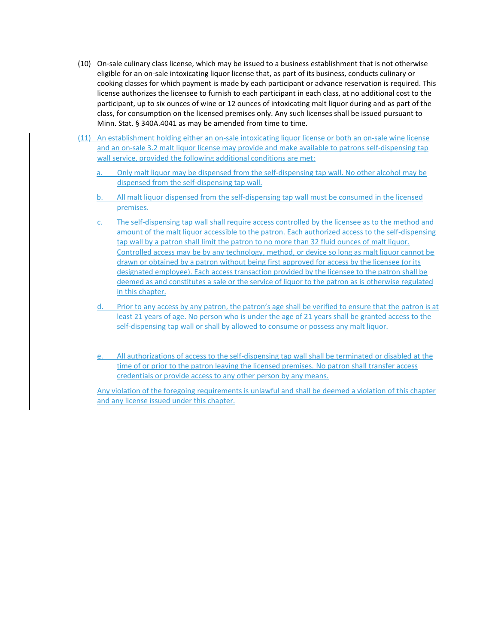- (10) On-sale culinary class license, which may be issued to a business establishment that is not otherwise eligible for an on-sale intoxicating liquor license that, as part of its business, conducts culinary or cooking classes for which payment is made by each participant or advance reservation is required. This license authorizes the licensee to furnish to each participant in each class, at no additional cost to the participant, up to six ounces of wine or 12 ounces of intoxicating malt liquor during and as part of the class, for consumption on the licensed premises only. Any such licenses shall be issued pursuant to Minn. Stat. § 340A.4041 as may be amended from time to time.
- (11) An establishment holding either an on-sale intoxicating liquor license or both an on-sale wine license and an on-sale 3.2 malt liquor license may provide and make available to patrons self-dispensing tap wall service, provided the following additional conditions are met:
	- Only malt liquor may be dispensed from the self-dispensing tap wall. No other alcohol may be dispensed from the self-dispensing tap wall.
	- b. All malt liquor dispensed from the self-dispensing tap wall must be consumed in the licensed premises.
	- The self-dispensing tap wall shall require access controlled by the licensee as to the method and amount of the malt liquor accessible to the patron. Each authorized access to the self-dispensing tap wall by a patron shall limit the patron to no more than 32 fluid ounces of malt liquor. Controlled access may be by any technology, method, or device so long as malt liquor cannot be drawn or obtained by a patron without being first approved for access by the licensee (or its designated employee). Each access transaction provided by the licensee to the patron shall be deemed as and constitutes a sale or the service of liquor to the patron as is otherwise regulated in this chapter.
	- Prior to any access by any patron, the patron's age shall be verified to ensure that the patron is at least 21 years of age. No person who is under the age of 21 years shall be granted access to the self-dispensing tap wall or shall by allowed to consume or possess any malt liquor.
	- All authorizations of access to the self-dispensing tap wall shall be terminated or disabled at the time of or prior to the patron leaving the licensed premises. No patron shall transfer access credentials or provide access to any other person by any means.

Any violation of the foregoing requirements is unlawful and shall be deemed a violation of this chapter and any license issued under this chapter.